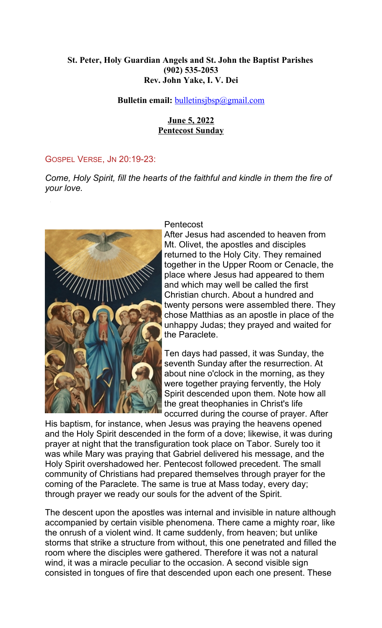## **St. Peter, Holy Guardian Angels and St. John the Baptist Parishes (902) 535-2053 Rev. John Yake, I. V. Dei**

## **Bulletin email:** [bulletinsjbsp@gmail.com](mailto:bulletinsjbsp@gmail.com)

## **June 5, 2022 Pentecost Sunday**

#### GOSPEL VERSE, JN 20:19-23:

*Come, Holy Spirit, fill the hearts of the faithful and kindle in them the fire of your love.*



#### Pentecost

After Jesus had ascended to heaven from Mt. Olivet, the apostles and disciples returned to the Holy City. They remained together in the Upper Room or Cenacle, the place where Jesus had appeared to them and which may well be called the first Christian church. About a hundred and twenty persons were assembled there. They chose Matthias as an apostle in place of the unhappy Judas; they prayed and waited for the Paraclete.

Ten days had passed, it was Sunday, the seventh Sunday after the resurrection. At about nine o'clock in the morning, as they were together praying fervently, the Holy Spirit descended upon them. Note how all the great theophanies in Christ's life occurred during the course of prayer. After

His baptism, for instance, when Jesus was praying the heavens opened and the Holy Spirit descended in the form of a dove; likewise, it was during prayer at night that the transfiguration took place on Tabor. Surely too it was while Mary was praying that Gabriel delivered his message, and the Holy Spirit overshadowed her. Pentecost followed precedent. The small community of Christians had prepared themselves through prayer for the coming of the Paraclete. The same is true at Mass today, every day; through prayer we ready our souls for the advent of the Spirit.

The descent upon the apostles was internal and invisible in nature although accompanied by certain visible phenomena. There came a mighty roar, like the onrush of a violent wind. It came suddenly, from heaven; but unlike storms that strike a structure from without, this one penetrated and filled the room where the disciples were gathered. Therefore it was not a natural wind, it was a miracle peculiar to the occasion. A second visible sign consisted in tongues of fire that descended upon each one present. These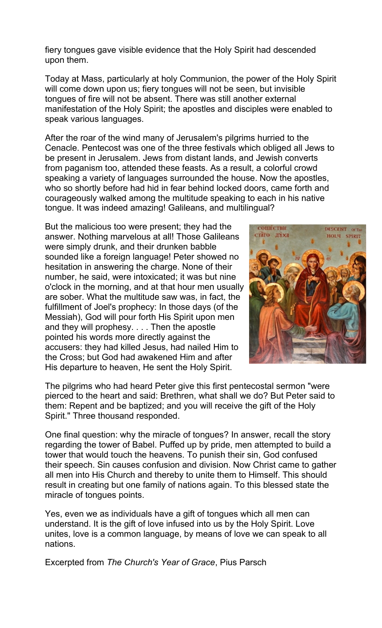fiery tongues gave visible evidence that the Holy Spirit had descended upon them.

Today at Mass, particularly at holy Communion, the power of the Holy Spirit will come down upon us; fiery tongues will not be seen, but invisible tongues of fire will not be absent. There was still another external manifestation of the Holy Spirit; the apostles and disciples were enabled to speak various languages.

After the roar of the wind many of Jerusalem's pilgrims hurried to the Cenacle. Pentecost was one of the three festivals which obliged all Jews to be present in Jerusalem. Jews from distant lands, and Jewish converts from paganism too, attended these feasts. As a result, a colorful crowd speaking a variety of languages surrounded the house. Now the apostles, who so shortly before had hid in fear behind locked doors, came forth and courageously walked among the multitude speaking to each in his native tongue. It was indeed amazing! Galileans, and multilingual?

But the malicious too were present; they had the answer. Nothing marvelous at all! Those Galileans were simply drunk, and their drunken babble sounded like a foreign language! Peter showed no hesitation in answering the charge. None of their number, he said, were intoxicated; it was but nine o'clock in the morning, and at that hour men usually are sober. What the multitude saw was, in fact, the fulfillment of Joel's prophecy: In those days (of the Messiah), God will pour forth His Spirit upon men and they will prophesy. . . . Then the apostle pointed his words more directly against the accusers: they had killed Jesus, had nailed Him to the Cross; but God had awakened Him and after His departure to heaven, He sent the Holy Spirit.



The pilgrims who had heard Peter give this first pentecostal sermon "were pierced to the heart and said: Brethren, what shall we do? But Peter said to them: Repent and be baptized; and you will receive the gift of the Holy Spirit." Three thousand responded.

One final question: why the miracle of tongues? In answer, recall the story regarding the tower of Babel. Puffed up by pride, men attempted to build a tower that would touch the heavens. To punish their sin, God confused their speech. Sin causes confusion and division. Now Christ came to gather all men into His Church and thereby to unite them to Himself. This should result in creating but one family of nations again. To this blessed state the miracle of tongues points.

Yes, even we as individuals have a gift of tongues which all men can understand. It is the gift of love infused into us by the Holy Spirit. Love unites, love is a common language, by means of love we can speak to all nations.

Excerpted from *The Church's Year of Grace*, Pius Parsch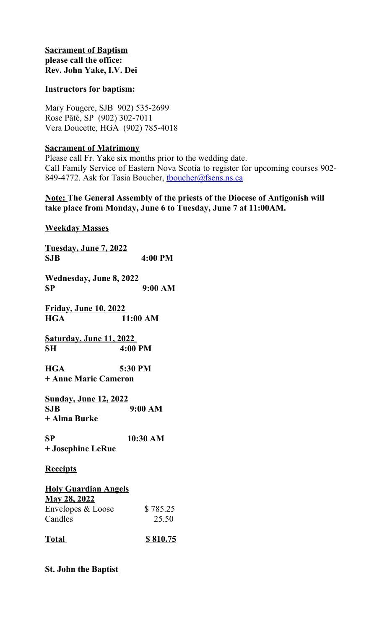## **Sacrament of Baptism please call the office: Rev. John Yake, I.V. Dei**

## **Instructors for baptism:**

Mary Fougere, SJB 902) 535-2699 Rose Pâté, SP (902) 302-7011 Vera Doucette, HGA (902) 785-4018

## **Sacrament of Matrimony**

Please call Fr. Yake six months prior to the wedding date. Call Family Service of Eastern Nova Scotia to register for upcoming courses 902- 849-4772. Ask for Tasia Boucher, thoucher@fsens.ns.ca

## **Note: The General Assembly of the priests of the Diocese of Antigonish will take place from Monday, June 6 to Tuesday, June 7 at 11:00AM.**

**Weekday Masses**

| <u>Tuesday, June 7, 2022</u>                                                       |                   |
|------------------------------------------------------------------------------------|-------------------|
| <b>SJB</b>                                                                         | 4:00 PM           |
| <u> Wednesday, June 8, 2022</u><br>SP                                              | 9:00 AM           |
| <u>Friday, June 10, 2022 </u><br><b>HGA</b>                                        | 11:00 AM          |
| <u>Saturday, June 11, 2022 </u><br>SH                                              | $4:00$ PM         |
| HGA<br>+ Anne Marie Cameron                                                        | 5:30 PM           |
| <u>Sunday, June 12, 2022</u><br><b>SJB</b><br>+ Alma Burke                         | 9:00 AM           |
| SP<br>+ Josephine LeRue                                                            | 10:30 AM          |
| <u>Receipts</u>                                                                    |                   |
| <b>Holy Guardian Angels</b><br><b>May 28, 2022</b><br>Envelopes & Loose<br>Candles | \$785.25<br>25.50 |
| <u>Total</u>                                                                       | \$810.75          |

# **St. John the Baptist**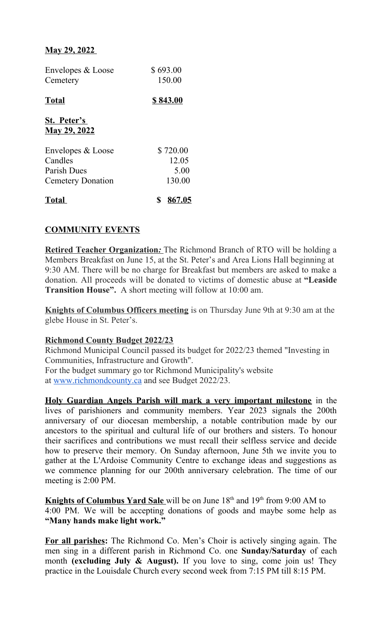## **May 29, 2022**

| Envelopes & Loose<br>Cemetery                                           | \$693.00<br>150.00                  |
|-------------------------------------------------------------------------|-------------------------------------|
| <b>Total</b>                                                            | \$843.00                            |
| St. Peter's<br><b>May 29, 2022</b>                                      |                                     |
| Envelopes & Loose<br>Candles<br>Parish Dues<br><b>Cemetery Donation</b> | \$720.00<br>12.05<br>5.00<br>130.00 |
| <b>Total</b>                                                            | 867.05                              |

# **COMMUNITY EVENTS**

**Retired Teacher Organization:** The Richmond Branch of RTO will be holding a Members Breakfast on June 15, at the St. Peter's and Area Lions Hall beginning at 9:30 AM. There will be no charge for Breakfast but members are asked to make a donation. All proceeds will be donated to victims of domestic abuse at **"Leaside Transition House".** A short meeting will follow at 10:00 am.

**Knights of Columbus Officers meeting** is on Thursday June 9th at 9:30 am at the glebe House in St. Peter's.

## **Richmond County Budget 2022/23**

Richmond Municipal Council passed its budget for 2022/23 themed "Investing in Communities, Infrastructure and Growth".

For the budget summary go tor Richmond Municipality's website at [www.richmondcounty.ca](http://www.richmondcounty.ca/) and see Budget 2022/23.

**Holy Guardian Angels Parish will mark a very important milestone** in the lives of parishioners and community members. Year 2023 signals the 200th anniversary of our diocesan membership, a notable contribution made by our ancestors to the spiritual and cultural life of our brothers and sisters. To honour their sacrifices and contributions we must recall their selfless service and decide how to preserve their memory. On Sunday afternoon, June 5th we invite you to gather at the L'Ardoise Community Centre to exchange ideas and suggestions as we commence planning for our 200th anniversary celebration. The time of our meeting is 2:00 PM.

**Knights of Columbus Yard Sale** will be on June 18<sup>th</sup> and 19<sup>th</sup> from 9:00 AM to 4:00 PM. We will be accepting donations of goods and maybe some help as **"Many hands make light work."**

**For all parishes:** The Richmond Co. Men's Choir is actively singing again. The men sing in a different parish in Richmond Co. one **Sunday/Saturday** of each month **(excluding July & August).** If you love to sing, come join us! They practice in the Louisdale Church every second week from 7:15 PM till 8:15 PM.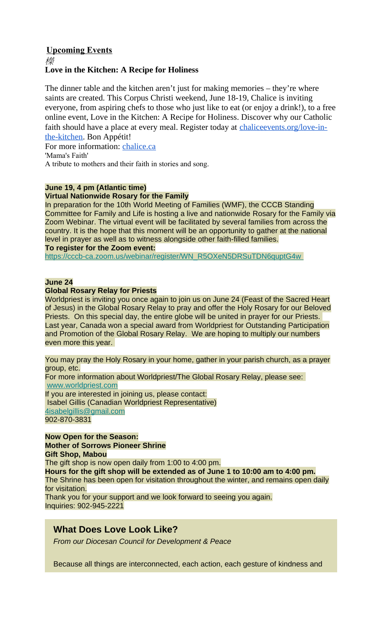### **Upcoming Events** 櫟 **Love in the Kitchen: A Recipe for Holiness**

The dinner table and the kitchen aren't just for making memories – they're where saints are created. This Corpus Christi weekend, June 18-19, Chalice is inviting everyone, from aspiring chefs to those who just like to eat (or enjoy a drink!), to a free online event, Love in the Kitchen: A Recipe for Holiness. Discover why our Catholic faith should have a place at every meal. Register today at chalice events.org/love-in[the-kitchen.](http://chaliceevents.org/love-in-the-kitchen) Bon Appétit!

For more information: [chalice.ca](http://chalice.ca/) 'Mama's Faith'

A tribute to mothers and their faith in stories and song.

#### **June 19, 4 pm (Atlantic time)**

#### **Virtual Nationwide Rosary for the Family**

In preparation for the 10th World Meeting of Families (WMF), the CCCB Standing Committee for Family and Life is hosting a live and nationwide Rosary for the Family via Zoom Webinar. The virtual event will be facilitated by several families from across the country. It is the hope that this moment will be an opportunity to gather at the national level in prayer as well as to witness alongside other faith-filled families. **To register for the Zoom event:**

 [https://cccb-ca.zoom.us/webinar/register/WN\\_R5OXeN5DRSuTDN6quptG4w](https://antigonishdiocese.us11.list-manage.com/track/click?u=46108c95b96680ff598b4aa1d&id=ced77d1d8b&e=60939d450d)

#### **June 24**

#### **Global Rosary Relay for Priests**

Worldpriest is inviting you once again to join us on June 24 (Feast of the Sacred Heart of Jesus) in the Global Rosary Relay to pray and offer the Holy Rosary for our Beloved Priests. On this special day, the entire globe will be united in prayer for our Priests. Last year, Canada won a special award from Worldpriest for Outstanding Participation and Promotion of the Global Rosary Relay. We are hoping to multiply our numbers even more this year.

You may pray the Holy Rosary in your home, gather in your parish church, as a prayer group, etc. For more information about Worldpriest/The Global Rosary Relay, please see: [www.worldpriest.com](https://antigonishdiocese.us11.list-manage.com/track/click?u=46108c95b96680ff598b4aa1d&id=4f9fab1a7e&e=60939d450d) If you are interested in joining us, please contact: Isabel Gillis (Canadian Worldpriest Representative) [4isabelgillis@gmail.com](mailto:4isabelgillis@gmail.com)

902-870-3831

**Now Open for the Season: Mother of Sorrows Pioneer Shrine Gift Shop, Mabou** The gift shop is now open daily from 1:00 to 4:00 pm. **Hours for the gift shop will be extended as of June 1 to 10:00 am to 4:00 pm.** The Shrine has been open for visitation throughout the winter, and remains open daily for visitation. Thank you for your support and we look forward to seeing you again. Inquiries: 902-945-2221

# **What Does Love Look Like?**

*From our Diocesan Council for Development & Peace*

Because all things are interconnected, each action, each gesture of kindness and